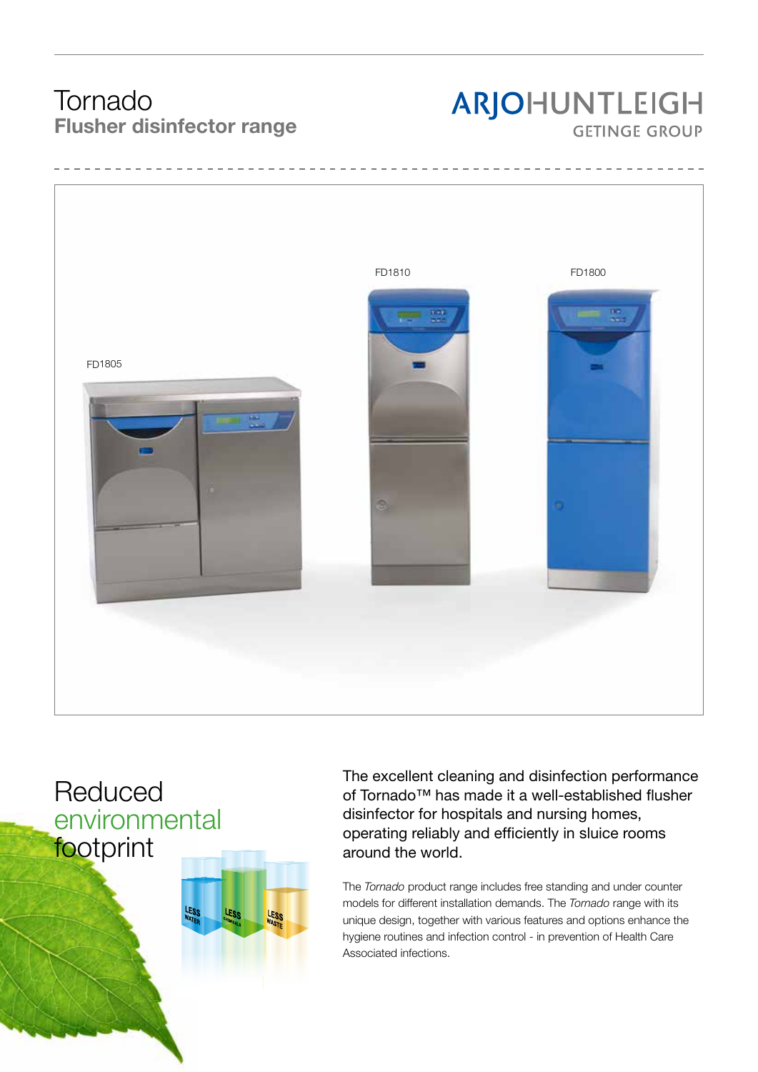## Tornado Flusher disinfector range

# ARJOHUNTLEIGH **GETINGE GROUP**



# Reduced environmental footprint



The excellent cleaning and disinfection performance of Tornado™ has made it a well-established flusher disinfector for hospitals and nursing homes, operating reliably and efficiently in sluice rooms around the world.

The *Tornado* product range includes free standing and under counter models for different installation demands. The *Tornado* range with its unique design, together with various features and options enhance the hygiene routines and infection control - in prevention of Health Care Associated infections.